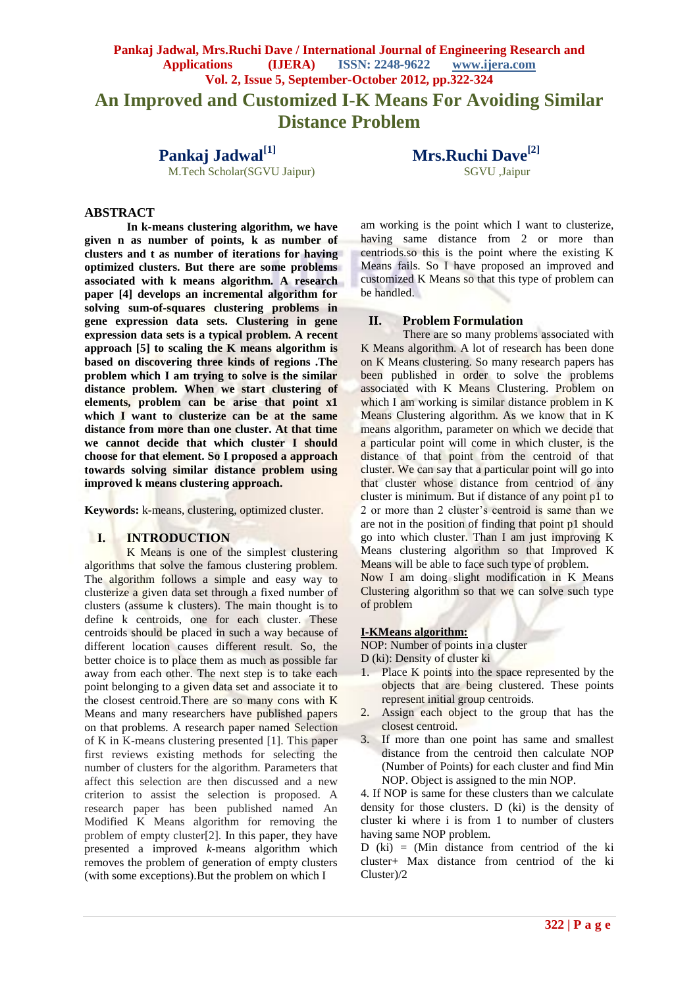# **Pankaj Jadwal, Mrs.Ruchi Dave / International Journal of Engineering Research and Applications (IJERA) ISSN: 2248-9622 www.ijera.com Vol. 2, Issue 5, September-October 2012, pp.322-324 An Improved and Customized I-K Means For Avoiding Similar Distance Problem**

M.Tech Scholar(SGVU Jaipur)

**Pankaj Jadwal**<sup>[1]</sup> **Mrs.Ruchi Dave**<sup>[2]</sup> **Mrs.Ruchi Dave**<sup>[2]</sup>

### **ABSTRACT**

**In k-means clustering algorithm, we have given n as number of points, k as number of clusters and t as number of iterations for having optimized clusters. But there are some problems associated with k means algorithm. A research paper [4] develops an incremental algorithm for solving sum-of-squares clustering problems in gene expression data sets. Clustering in gene expression data sets is a typical problem. A recent approach [5] to scaling the K means algorithm is based on discovering three kinds of regions .The problem which I am trying to solve is the similar distance problem. When we start clustering of elements, problem can be arise that point x1 which I want to clusterize can be at the same distance from more than one cluster. At that time we cannot decide that which cluster I should choose for that element. So I proposed a approach towards solving similar distance problem using improved k means clustering approach.**

**Keywords:** k-means, clustering, optimized cluster.

# **I. INTRODUCTION**

K Means is one of the simplest clustering algorithms that solve the famous clustering problem. The algorithm follows a simple and easy way to clusterize a given data set through a fixed number of clusters (assume k clusters). The main thought is to define k centroids, one for each cluster. These centroids should be placed in such a way because of different location causes different result. So, the better choice is to place them as much as possible far away from each other. The next step is to take each point belonging to a given data set and associate it to the closest centroid.There are so many cons with K Means and many researchers have published papers on that problems. A research paper named Selection of K in K-means clustering presented [1]. This paper first reviews existing methods for selecting the number of clusters for the algorithm. Parameters that affect this selection are then discussed and a new criterion to assist the selection is proposed. A research paper has been published named An Modified K Means algorithm for removing the problem of empty cluster[2]. In this paper, they have presented a improved *k*-means algorithm which removes the problem of generation of empty clusters (with some exceptions).But the problem on which I

am working is the point which I want to clusterize, having same distance from 2 or more than centriods.so this is the point where the existing K Means fails. So I have proposed an improved and customized K Means so that this type of problem can be handled.

#### **II. Problem Formulation**

There are so many problems associated with K Means algorithm. A lot of research has been done on K Means clustering. So many research papers has been published in order to solve the problems associated with K Means Clustering. Problem on which I am working is similar distance problem in K Means Clustering algorithm. As we know that in K means algorithm, parameter on which we decide that a particular point will come in which cluster, is the distance of that point from the centroid of that cluster. We can say that a particular point will go into that cluster whose distance from centriod of any cluster is minimum. But if distance of any point p1 to 2 or more than 2 cluster's centroid is same than we are not in the position of finding that point p1 should go into which cluster. Than I am just improving K Means clustering algorithm so that Improved K Means will be able to face such type of problem.

Now I am doing slight modification in K Means Clustering algorithm so that we can solve such type of problem

#### **I-KMeans algorithm:**

NOP: Number of points in a cluster

D (ki): Density of cluster ki

- 1. Place K points into the space represented by the objects that are being clustered. These points represent initial group centroids.
- 2. Assign each object to the group that has the closest centroid.
- 3. If more than one point has same and smallest distance from the centroid then calculate NOP (Number of Points) for each cluster and find Min NOP. Object is assigned to the min NOP.

4. If NOP is same for these clusters than we calculate density for those clusters. D (ki) is the density of cluster ki where i is from 1 to number of clusters having same NOP problem.

D (ki) = (Min distance from centriod of the ki cluster+ Max distance from centriod of the ki Cluster)/2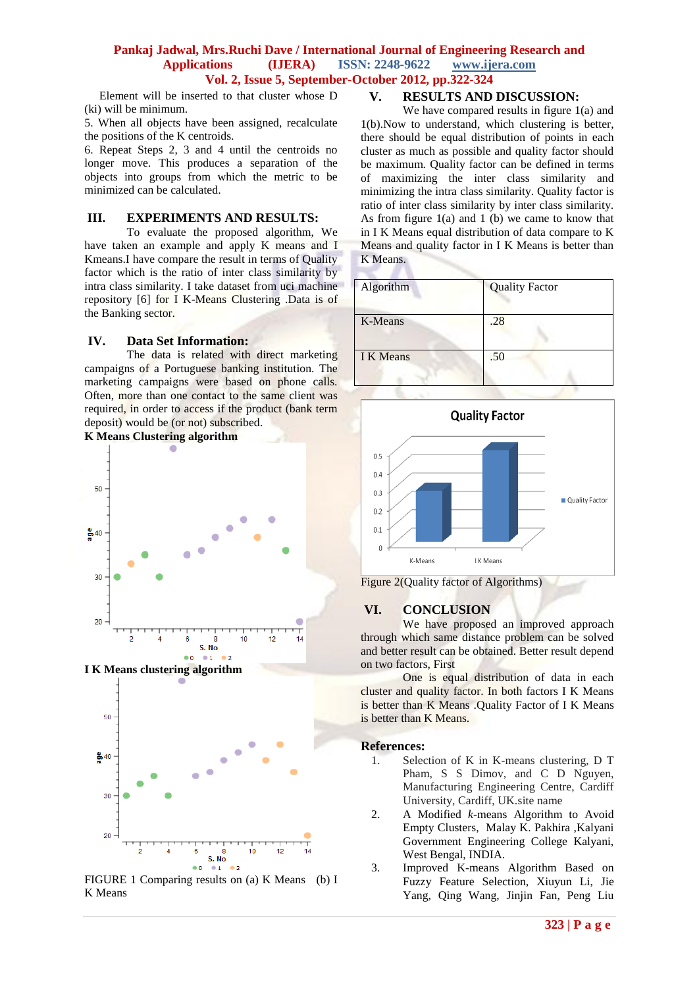## **Pankaj Jadwal, Mrs.Ruchi Dave / International Journal of Engineering Research and Applications (IJERA) ISSN: 2248-9622 www.ijera.com Vol. 2, Issue 5, September-October 2012, pp.322-324**

 Element will be inserted to that cluster whose D (ki) will be minimum.

5. When all objects have been assigned, recalculate the positions of the K centroids.

6. Repeat Steps 2, 3 and 4 until the centroids no longer move. This produces a separation of the objects into groups from which the metric to be minimized can be calculated.

## **III. EXPERIMENTS AND RESULTS:**

To evaluate the proposed algorithm, We have taken an example and apply K means and I Kmeans.I have compare the result in terms of Quality factor which is the ratio of inter class similarity by intra class similarity. I take dataset from uci machine repository [6] for I K-Means Clustering .Data is of the Banking sector.

## **IV. Data Set Information:**

The data is related with direct marketing campaigns of a Portuguese banking institution. The marketing campaigns were based on phone calls. Often, more than one contact to the same client was required, in order to access if the product (bank term deposit) would be (or not) subscribed.





FIGURE 1 Comparing results on (a) K Means (b) I K Means

# **V. RESULTS AND DISCUSSION:**

We have compared results in figure 1(a) and 1(b).Now to understand, which clustering is better, there should be equal distribution of points in each cluster as much as possible and quality factor should be maximum. Quality factor can be defined in terms of maximizing the inter class similarity and minimizing the intra class similarity. Quality factor is ratio of inter class similarity by inter class similarity. As from figure 1(a) and 1 (b) we came to know that in I K Means equal distribution of data compare to K Means and quality factor in I K Means is better than K Means.

| <b>Quality Factor</b> |
|-----------------------|
| .28                   |
| .50                   |
|                       |





# **VI. CONCLUSION**

We have proposed an improved approach through which same distance problem can be solved and better result can be obtained. Better result depend on two factors, First

One is equal distribution of data in each cluster and quality factor. In both factors I K Means is better than K Means .Quality Factor of I K Means is better than K Means.

#### **References:**

- 1. Selection of K in K-means clustering, D T Pham, S S Dimov, and C D Nguyen, Manufacturing Engineering Centre, Cardiff University, Cardiff, UK.site name
- 2. A Modified *k*-means Algorithm to Avoid Empty Clusters, Malay K. Pakhira ,Kalyani Government Engineering College Kalyani, West Bengal, INDIA.
- 3. Improved K-means Algorithm Based on Fuzzy Feature Selection, Xiuyun Li, Jie Yang, Qing Wang, Jinjin Fan, Peng Liu